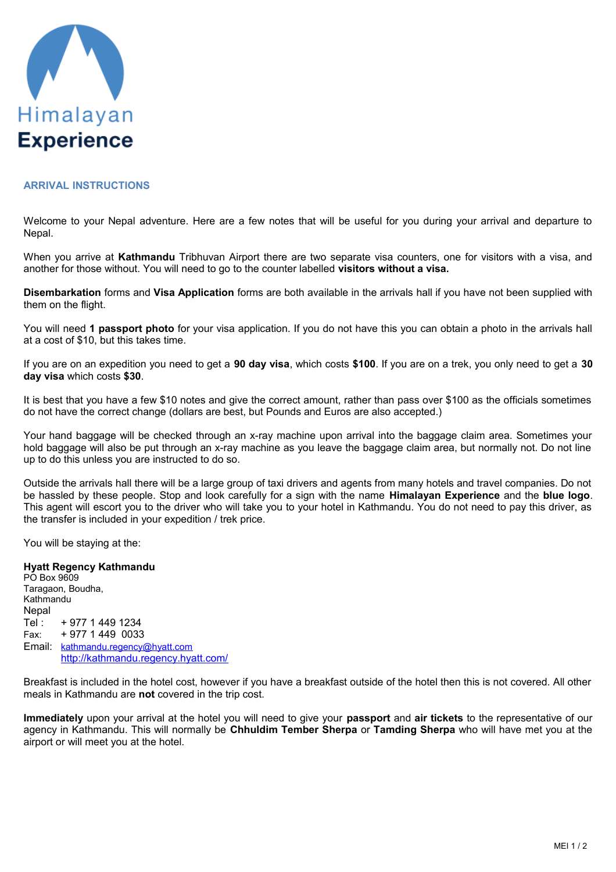

## **ARRIVAL INSTRUCTIONS**

Welcome to your Nepal adventure. Here are a few notes that will be useful for you during your arrival and departure to Nepal.

When you arrive at **Kathmandu** Tribhuvan Airport there are two separate visa counters, one for visitors with a visa, and another for those without. You will need to go to the counter labelled **visitors without a visa.**

**Disembarkation** forms and **Visa Application** forms are both available in the arrivals hall if you have not been supplied with them on the flight.

You will need **1 passport photo** for your visa application. If you do not have this you can obtain a photo in the arrivals hall at a cost of \$10, but this takes time.

If you are on an expedition you need to get a **90 day visa**, which costs **\$100**. If you are on a trek, you only need to get a **30 day visa** which costs **\$30**.

It is best that you have a few \$10 notes and give the correct amount, rather than pass over \$100 as the officials sometimes do not have the correct change (dollars are best, but Pounds and Euros are also accepted.)

Your hand baggage will be checked through an x-ray machine upon arrival into the baggage claim area. Sometimes your hold baggage will also be put through an x-ray machine as you leave the baggage claim area, but normally not. Do not line up to do this unless you are instructed to do so.

Outside the arrivals hall there will be a large group of taxi drivers and agents from many hotels and travel companies. Do not be hassled by these people. Stop and look carefully for a sign with the name **Himalayan Experience** and the **blue logo**. This agent will escort you to the driver who will take you to your hotel in Kathmandu. You do not need to pay this driver, as the transfer is included in your expedition / trek price.

You will be staying at the:

## **Hyatt Regency Kathmandu**

PO Box 9609 Taragaon, Boudha, Kathmandu **Nepal** Tel : + 977 1 449 1234 Fax: + 977 1 449 0033 Email: [kathmandu.regency@hyatt.com](mailto:kathmandu.regency@hyatt.com) <http://kathmandu.regency.hyatt.com/>

Breakfast is included in the hotel cost, however if you have a breakfast outside of the hotel then this is not covered. All other meals in Kathmandu are **not** covered in the trip cost.

**Immediately** upon your arrival at the hotel you will need to give your **passport** and **air tickets** to the representative of our agency in Kathmandu. This will normally be **Chhuldim Tember Sherpa** or **Tamding Sherpa** who will have met you at the airport or will meet you at the hotel.